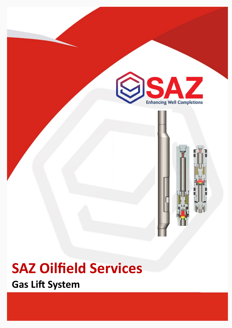



**Gas Lift System**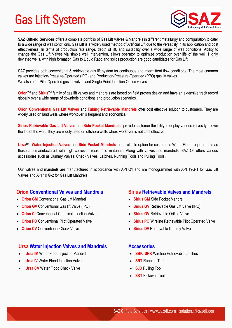# Gas Lift System



**SAZ Oilfield Services** offers a complete portfolio of Gas Lift Valves & Mandrels in different metallurgy and configuration to cater to a wide range of well conditions. Gas Lift is a widely used method of Artificial Lift due to the versatility in its application and cost effectiveness. In terms of production rate range, depth of lift, and suitability over a wide range of well conditions. Ability to change the Gas Lift Valves via simple well intervention, allows operator to optimize production over life of the well. Highly deviated wells, with high formation Gas to Liquid Ratio and solids production are good candidates for Gas Lift.

SAZ provides both conventional & retrievable gas lift system for continuous and intermittent flow conditions. The most common valves are Injection-Pressure-Operated (IPO) and Production-Pressure-Operated (PPO) gas lift valves. We also offer Pilot Operated gas lift valves and Single Point Injection Orifice valves.

**Orion**TM and **Sirius**TM family of gas lift valves and mandrels are based on field proven design and have an extensive track record globally over a wide range of downhole conditions and production scenarios.

**Orion Conventional Gas Lift Valves** and **Tubing Retrievable Mandrels** offer cost effective solution to customers. They are widely used on land wells where workover is frequent and economical.

**Sirius Retrievable Gas Lift Valves** and **Side Pocket Mandrels** provide customer flexibility to deploy various valves type over the life of the well. They are widely used on offshore wells where workover is not cost effective.

**Ursa**TM **Water Injection Valves** and **Side Pocket Mandrels** offer reliable option for customer's Water Flood requirements as these are manufactured with high corrosion resistance materials. Along with valves and mandrels, SAZ Oil offers various accessories such as Dummy Valves, Check Valves, Latches, Running Tools and Pulling Tools.

Our valves and mandrels are manufactured in accordance with API Q1 and are monogrammed with API 19G-1 for Gas Lift Valves and API 19 G-2 for Gas Lift Mandrels.

# **Orion Conventional Valves and Mandrels**

- **Orion GM** Conventional Gas Lift Mandrel
- **Orion GV** Conventional Gas lift Valve (IPO)
- **Orion CI** Conventional Chemical Injection Valve
- **Orion PO** Conventional Pilot Operated Valve
- **Conventional Check Valve**

# **Ursa Water Injection Valves and Mandrels**

- **Ursa IM** Water Flood Injection Mandrel
- **Ursa IV** Water Flood Injection Valve
- **Ursa CV** Water Flood Check Valve

#### **Sirius Retrievable Valves and Mandrels**

- **Sirius GM** Side Pocket Mandrel
- **Sirius GV** Retrievable Gas Lift Valve (IPO)
- **Sirius OV** Retrievable Orifice Valve
- **Sirius PO** Wireline Retrievable Pilot Operated Valve
- **Sirius DV** Retrievable Dummy Valve

#### **Accessories**

- **SBK**, **SRK** Wireline Retrievable Latches
- **SRT** Running Tool
- **SJD** Pulling Tool
- **SKT** Kickover Tool